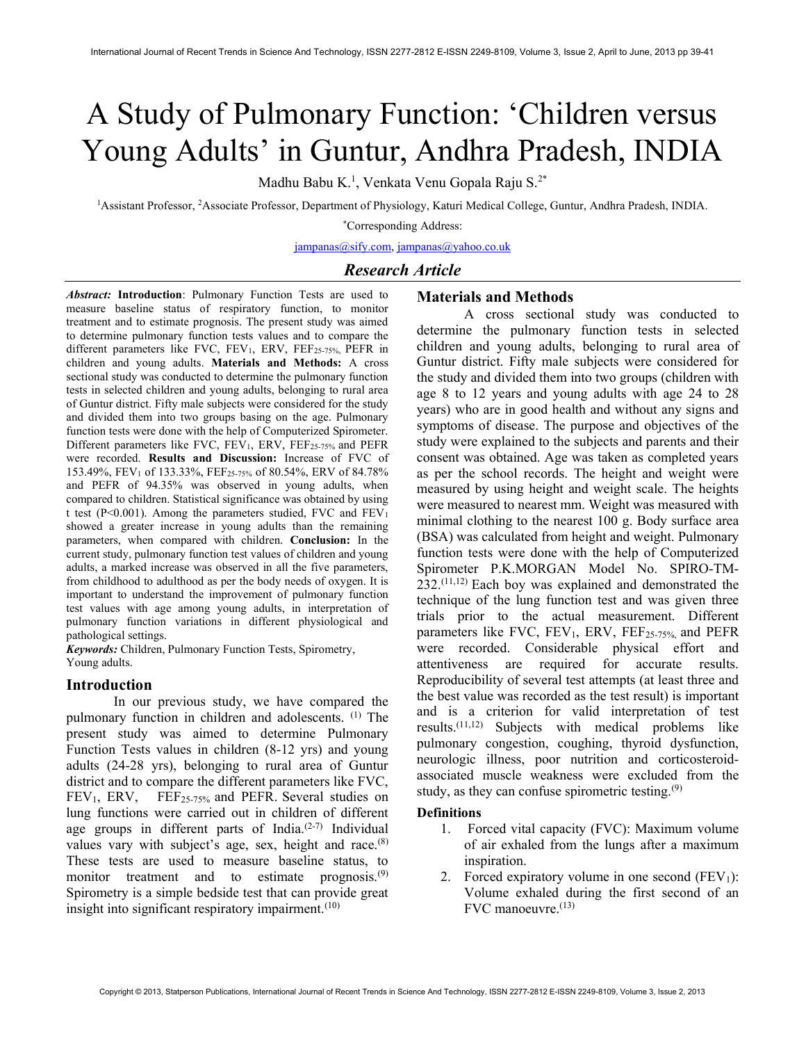# A Study of Pulmonary Function: 'Children versus Young Adults' in Guntur, Andhra Pradesh, INDIA

Madhu Babu K.<sup>1</sup>, Venkata Venu Gopala Raju S.<sup>2\*</sup>

<sup>1</sup>Assistant Professor, <sup>2</sup>Associate Professor, Department of Physiology, Katuri Medical College, Guntur, Andhra Pradesh, INDIA.

\*Corresponding Address:

jampanas@sify.com, jampanas@yahoo.co.uk

# Research Article

Abstract: Introduction: Pulmonary Function Tests are used to measure baseline status of respiratory function, to monitor treatment and to estimate prognosis. The present study was aimed to determine pulmonary function tests values and to compare the different parameters like FVC, FEV<sub>1</sub>, ERV, FEF<sub>25-75%</sub>, PEFR in children and young adults. Materials and Methods: A cross sectional study was conducted to determine the pulmonary function tests in selected children and young adults, belonging to rural area of Guntur district. Fifty male subjects were considered for the study and divided them into two groups basing on the age. Pulmonary function tests were done with the help of Computerized Spirometer. Different parameters like FVC,  $FEV_1$ ,  $ERV$ ,  $FEF_{25-75\%}$  and  $PEFR$ were recorded. Results and Discussion: Increase of FVC of 153.49%, FEV1 of 133.33%, FEF25-75% of 80.54%, ERV of 84.78% and PEFR of 94.35% was observed in young adults, when compared to children. Statistical significance was obtained by using t test (P<0.001). Among the parameters studied, FVC and  $FEV<sub>1</sub>$ showed a greater increase in young adults than the remaining parameters, when compared with children. Conclusion: In the current study, pulmonary function test values of children and young adults, a marked increase was observed in all the five parameters, from childhood to adulthood as per the body needs of oxygen. It is important to understand the improvement of pulmonary function test values with age among young adults, in interpretation of pulmonary function variations in different physiological and pathological settings.

Keywords: Children, Pulmonary Function Tests, Spirometry, Young adults.

### Introduction

In our previous study, we have compared the pulmonary function in children and adolescents. (1) The present study was aimed to determine Pulmonary Function Tests values in children (8-12 yrs) and young adults (24-28 yrs), belonging to rural area of Guntur district and to compare the different parameters like FVC,  $FEV<sub>1</sub>$ ,  $ERV$ ,  $FEF<sub>25-75%</sub>$  and PEFR. Several studies on lung functions were carried out in children of different age groups in different parts of India.<sup>(2-7)</sup> Individual values vary with subject's age, sex, height and race.<sup>(8)</sup> These tests are used to measure baseline status, to monitor treatment and to estimate prognosis.<sup>(9)</sup> Spirometry is a simple bedside test that can provide great insight into significant respiratory impairment. $(10)$ 

## Materials and Methods

A cross sectional study was conducted to determine the pulmonary function tests in selected children and young adults, belonging to rural area of Guntur district. Fifty male subjects were considered for the study and divided them into two groups (children with age 8 to 12 years and young adults with age 24 to 28 years) who are in good health and without any signs and symptoms of disease. The purpose and objectives of the study were explained to the subjects and parents and their consent was obtained. Age was taken as completed years as per the school records. The height and weight were measured by using height and weight scale. The heights were measured to nearest mm. Weight was measured with minimal clothing to the nearest 100 g. Body surface area (BSA) was calculated from height and weight. Pulmonary function tests were done with the help of Computerized Spirometer P.K.MORGAN Model No. SPIRO-TM- $232^{(11,12)}$  Each boy was explained and demonstrated the technique of the lung function test and was given three trials prior to the actual measurement. Different parameters like FVC,  $FEV_1$ ,  $ERV$ ,  $FEF_{25-75\%}$  and  $PEFR$ were recorded. Considerable physical effort and attentiveness are required for accurate results. Reproducibility of several test attempts (at least three and the best value was recorded as the test result) is important and is a criterion for valid interpretation of test results.(11,12) Subjects with medical problems like pulmonary congestion, coughing, thyroid dysfunction, neurologic illness, poor nutrition and corticosteroidassociated muscle weakness were excluded from the study, as they can confuse spirometric testing. $(9)$ 

#### Definitions

- 1. Forced vital capacity (FVC): Maximum volume of air exhaled from the lungs after a maximum inspiration.
- 2. Forced expiratory volume in one second  $(FEV<sub>1</sub>)$ : Volume exhaled during the first second of an FVC manoeuvre.(13)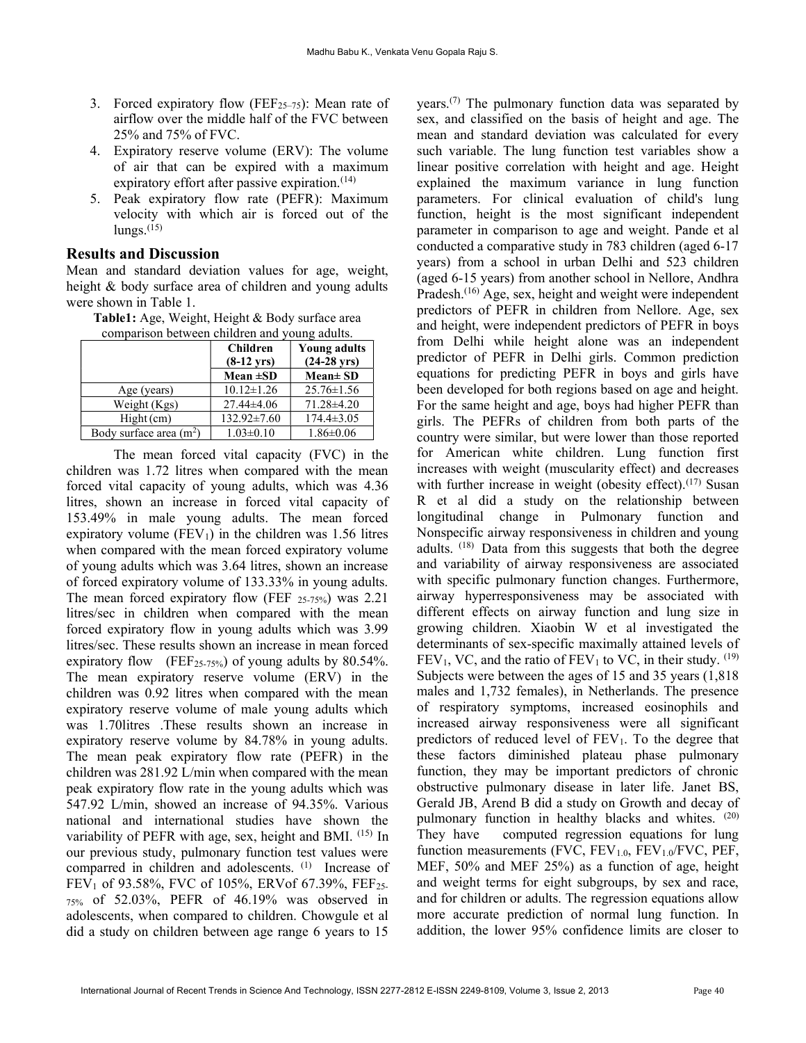- 3. Forced expiratory flow (FEF<sub>25–75</sub>): Mean rate of airflow over the middle half of the FVC between 25% and 75% of FVC.
- 4. Expiratory reserve volume (ERV): The volume of air that can be expired with a maximum expiratory effort after passive expiration.<sup>(14)</sup>
- 5. Peak expiratory flow rate (PEFR): Maximum velocity with which air is forced out of the  $\text{lungs.}^{(15)}$

# Results and Discussion

Mean and standard deviation values for age, weight, height & body surface area of children and young adults were shown in Table 1.

Table1: Age, Weight, Height & Body surface area comparison between children and young adults.

|                          | <b>Children</b><br>$(8-12 \text{ yrs})$ | <b>Young adults</b><br>$(24-28 \text{ yrs})$ |  |
|--------------------------|-----------------------------------------|----------------------------------------------|--|
|                          | Mean $\pm SD$                           | $Mean \pm SD$                                |  |
| Age (years)              | $10.12 \pm 1.26$                        | $25.76 \pm 1.56$                             |  |
| Weight (Kgs)             | $27.44\pm4.06$                          | 71.28±4.20                                   |  |
| $Hight$ (cm)             | $132.92 \pm 7.60$                       | $174.4 \pm 3.05$                             |  |
| Body surface area $(m2)$ | $1.03 \pm 0.10$                         | $1.86 \pm 0.06$                              |  |

The mean forced vital capacity (FVC) in the children was 1.72 litres when compared with the mean forced vital capacity of young adults, which was 4.36 litres, shown an increase in forced vital capacity of 153.49% in male young adults. The mean forced expiratory volume  $(FEV_1)$  in the children was 1.56 litres when compared with the mean forced expiratory volume of young adults which was 3.64 litres, shown an increase of forced expiratory volume of 133.33% in young adults. The mean forced expiratory flow (FEF  $_{25-75\%}$ ) was 2.21 litres/sec in children when compared with the mean forced expiratory flow in young adults which was 3.99 litres/sec. These results shown an increase in mean forced expiratory flow (FEF<sub>25-75%</sub>) of young adults by  $80.54\%$ . The mean expiratory reserve volume (ERV) in the children was 0.92 litres when compared with the mean expiratory reserve volume of male young adults which was 1.70litres .These results shown an increase in expiratory reserve volume by 84.78% in young adults. The mean peak expiratory flow rate (PEFR) in the children was 281.92 L/min when compared with the mean peak expiratory flow rate in the young adults which was 547.92 L/min, showed an increase of 94.35%. Various national and international studies have shown the variability of PEFR with age, sex, height and BMI. (15) In our previous study, pulmonary function test values were comparred in children and adolescents. (1) Increase of FEV<sub>1</sub> of 93.58%, FVC of 105%, ERVof 67.39%, FEF<sub>25-</sub> 75% of 52.03%, PEFR of 46.19% was observed in adolescents, when compared to children. Chowgule et al did a study on children between age range 6 years to 15

years.(7) The pulmonary function data was separated by sex, and classified on the basis of height and age. The mean and standard deviation was calculated for every such variable. The lung function test variables show a linear positive correlation with height and age. Height explained the maximum variance in lung function parameters. For clinical evaluation of child's lung function, height is the most significant independent parameter in comparison to age and weight. Pande et al conducted a comparative study in 783 children (aged 6-17 years) from a school in urban Delhi and 523 children (aged 6-15 years) from another school in Nellore, Andhra Pradesh.<sup>(16)</sup> Age, sex, height and weight were independent predictors of PEFR in children from Nellore. Age, sex and height, were independent predictors of PEFR in boys from Delhi while height alone was an independent predictor of PEFR in Delhi girls. Common prediction equations for predicting PEFR in boys and girls have been developed for both regions based on age and height. For the same height and age, boys had higher PEFR than girls. The PEFRs of children from both parts of the country were similar, but were lower than those reported for American white children. Lung function first increases with weight (muscularity effect) and decreases with further increase in weight (obesity effect).<sup> $(17)$ </sup> Susan R et al did a study on the relationship between longitudinal change in Pulmonary function and Nonspecific airway responsiveness in children and young adults. (18) Data from this suggests that both the degree and variability of airway responsiveness are associated with specific pulmonary function changes. Furthermore, airway hyperresponsiveness may be associated with different effects on airway function and lung size in growing children. Xiaobin W et al investigated the determinants of sex-specific maximally attained levels of  $FEV<sub>1</sub>$ , VC, and the ratio of  $FEV<sub>1</sub>$  to VC, in their study. <sup>(19)</sup> Subjects were between the ages of 15 and 35 years (1,818 males and 1,732 females), in Netherlands. The presence of respiratory symptoms, increased eosinophils and increased airway responsiveness were all significant predictors of reduced level of  $FEV<sub>1</sub>$ . To the degree that these factors diminished plateau phase pulmonary function, they may be important predictors of chronic obstructive pulmonary disease in later life. Janet BS, Gerald JB, Arend B did a study on Growth and decay of pulmonary function in healthy blacks and whites. (20) They have computed regression equations for lung function measurements (FVC,  $FEV_{1.0}$ ,  $FEV_{1.0}$ /FVC, PEF, MEF, 50% and MEF 25%) as a function of age, height and weight terms for eight subgroups, by sex and race, and for children or adults. The regression equations allow more accurate prediction of normal lung function. In addition, the lower 95% confidence limits are closer to